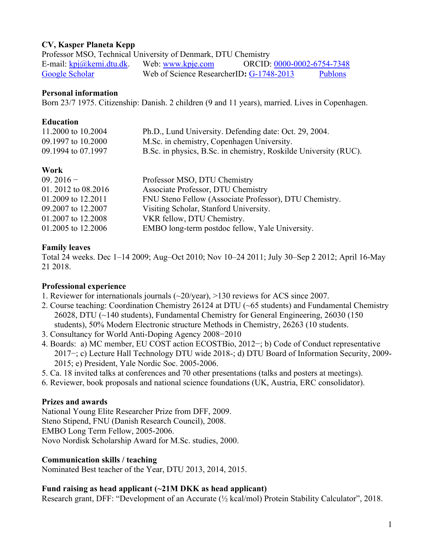# **CV, Kasper Planeta Kepp**

| Professor MSO, Technical University of Denmark, DTU Chemistry |                                          |                            |                |
|---------------------------------------------------------------|------------------------------------------|----------------------------|----------------|
| E-mail: $kpi@kemi.dtu.dk$ .                                   | Web: www.kpje.com                        | ORCID: 0000-0002-6754-7348 |                |
| Google Scholar                                                | Web of Science ResearcherID: G-1748-2013 |                            | <b>Publons</b> |

#### **Personal information**

Born 23/7 1975. Citizenship: Danish. 2 children (9 and 11 years), married. Lives in Copenhagen.

### **Education**

| 11.2000 to 10.2004 | Ph.D., Lund University. Defending date: Oct. 29, 2004.           |
|--------------------|------------------------------------------------------------------|
| 09.1997 to 10.2000 | M.Sc. in chemistry, Copenhagen University.                       |
| 09.1994 to 07.1997 | B.Sc. in physics, B.Sc. in chemistry, Roskilde University (RUC). |

## **Work**

| $09.2016 -$         | Professor MSO, DTU Chemistry                           |
|---------------------|--------------------------------------------------------|
| 01. 2012 to 08.2016 | Associate Professor, DTU Chemistry                     |
| 01.2009 to 12.2011  | FNU Steno Fellow (Associate Professor), DTU Chemistry. |
| 09.2007 to 12.2007  | Visiting Scholar, Stanford University.                 |
| 01.2007 to 12.2008  | VKR fellow, DTU Chemistry.                             |
| 01.2005 to 12.2006  | EMBO long-term postdoc fellow, Yale University.        |

## **Family leaves**

Total 24 weeks. Dec 1–14 2009; Aug–Oct 2010; Nov 10–24 2011; July 30–Sep 2 2012; April 16-May 21 2018.

## **Professional experience**

- 1. Reviewer for internationals journals (~20/year), >130 reviews for ACS since 2007.
- 2. Course teaching: Coordination Chemistry 26124 at DTU (~65 students) and Fundamental Chemistry 26028, DTU (~140 students), Fundamental Chemistry for General Engineering, 26030 (150 students), 50% Modern Electronic structure Methods in Chemistry, 26263 (10 students.
- 3. Consultancy for [World Anti-Doping Agency](http://www.wada-ama.org/) 2008−2010
- 4. Boards: a) MC member, EU COST action ECOSTBio, 2012−; b) Code of Conduct representative 2017−; c) Lecture Hall Technology DTU wide 2018-; d) DTU Board of Information Security, 2009- 2015; e) President, Yale Nordic Soc. 2005-2006.
- 5. Ca. 18 invited talks at conferences and 70 other presentations (talks and posters at meetings).
- 6. Reviewer, book proposals and national science foundations (UK, Austria, ERC consolidator).

## **Prizes and awards**

National Young Elite Researcher Prize from DFF, 2009. Steno Stipend, FNU (Danish Research Council), 2008. EMBO Long Term Fellow, 2005-2006. Novo Nordisk Scholarship Award for M.Sc. studies, 2000.

## **Communication skills / teaching**

Nominated Best teacher of the Year, DTU 2013, 2014, 2015.

## **Fund raising as head applicant (~21M DKK as head applicant)**

Research grant, DFF: "Development of an Accurate (½ kcal/mol) Protein Stability Calculator", 2018.